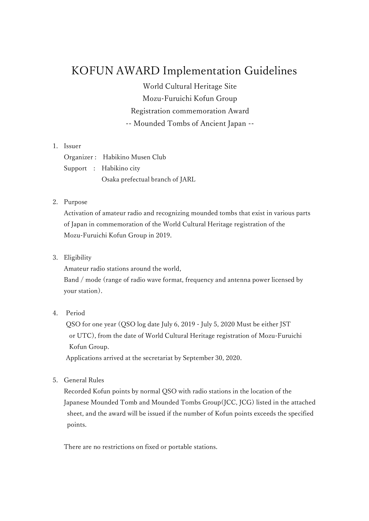# KOFUN AWARD Implementation Guidelines

World Cultural Heritage Site Mozu-Furuichi Kofun Group Registration commemoration Award -- Mounded Tombs of Ancient Japan --

# 1. Issuer

Organizer : Habikino Musen Club Support : Habikino city Osaka prefectual branch of JARL

### 2. Purpose

Activation of amateur radio and recognizing mounded tombs that exist in various parts of Japan in commemoration of the World Cultural Heritage registration of the Mozu-Furuichi Kofun Group in 2019.

3. Eligibility

Amateur radio stations around the world,

Band / mode (range of radio wave format, frequency and antenna power licensed by your station).

#### 4. Period

QSO for one year (QSO log date July 6, 2019 - July 5, 2020 Must be either JST or UTC), from the date of World Cultural Heritage registration of Mozu-Furuichi Kofun Group.

Applications arrived at the secretariat by September 30, 2020.

5. General Rules

Recorded Kofun points by normal QSO with radio stations in the location of the Japanese Mounded Tomb and Mounded Tombs Group(JCC, JCG) listed in the attached sheet, and the award will be issued if the number of Kofun points exceeds the specified points.

There are no restrictions on fixed or portable stations.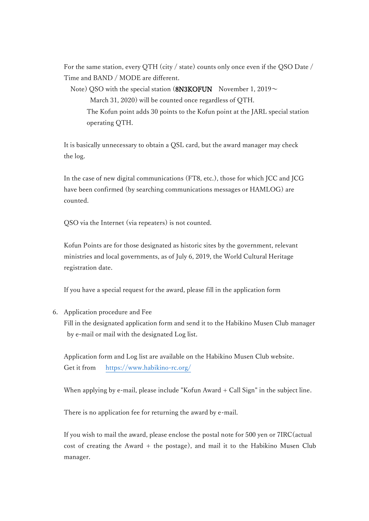For the same station, every QTH (city / state) counts only once even if the QSO Date / Time and BAND / MODE are different.

Note) QSO with the special station (8N3KOFUN November 1, 2019 $\sim$  March 31, 2020) will be counted once regardless of QTH. The Kofun point adds 30 points to the Kofun point at the JARL special station operating QTH.

It is basically unnecessary to obtain a QSL card, but the award manager may check the log.

In the case of new digital communications (FT8, etc.), those for which JCC and JCG have been confirmed (by searching communications messages or HAMLOG) are counted.

QSO via the Internet (via repeaters) is not counted.

Kofun Points are for those designated as historic sites by the government, relevant ministries and local governments, as of July 6, 2019, the World Cultural Heritage registration date.

If you have a special request for the award, please fill in the application form

## 6. Application procedure and Fee

Fill in the designated application form and send it to the Habikino Musen Club manager by e-mail or mail with the designated Log list.

Application form and Log list are available on the Habikino Musen Club website. Get it from [https://www.habikino-rc.o](https://www.habikino-rc./)rg/

When applying by e-mail, please include "Kofun Award + Call Sign" in the subject line.

There is no application fee for returning the award by e-mail.

If you wish to mail the award, please enclose the postal note for 500 yen or 7IRC(actual cost of creating the Award + the postage), and mail it to the Habikino Musen Club manager.